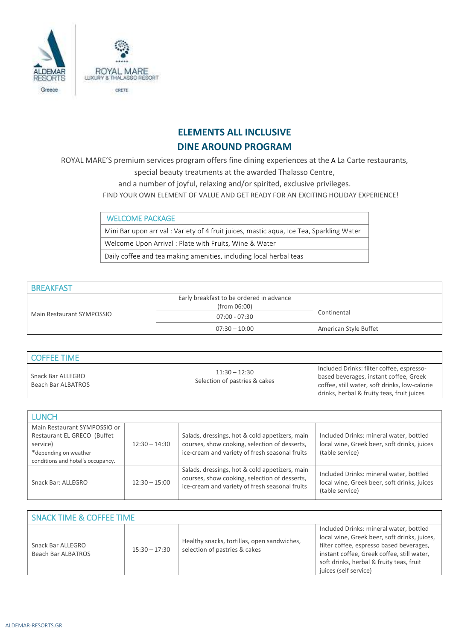

## **ELEMENTS ALL INCLUSIVE DINE AROUND PROGRAM**

ROYAL MARE'S premium services program offers fine dining experiences at the A La Carte restaurants,

special beauty treatments at the awarded Thalasso Centre,

and a number of joyful, relaxing and/or spirited, exclusive privileges.

FIND YOUR OWN ELEMENT OF VALUE AND GET READY FOR AN EXCITING HOLIDAY EXPERIENCE!

WELCOME PACKAGE Mini Bar upon arrival : Variety of 4 fruit juices, mastic aqua, Ice Tea, Sparkling Water Welcome Upon Arrival : Plate with Fruits, Wine & Water Daily coffee and tea making amenities, including local herbal teas

| <b>BREAKFAST</b>          |                                                          |                       |
|---------------------------|----------------------------------------------------------|-----------------------|
| Main Restaurant SYMPOSSIO | Early breakfast to be ordered in advance<br>(from 06:00) |                       |
|                           | $07:00 - 07:30$                                          | Continental           |
|                           | $07:30 - 10:00$                                          | American Style Buffet |

| LCOFFEE TIME                            |                                                  |                                                                                                                                                                                    |
|-----------------------------------------|--------------------------------------------------|------------------------------------------------------------------------------------------------------------------------------------------------------------------------------------|
| Snack Bar ALLEGRO<br>Beach Bar ALBATROS | $11:30 - 12:30$<br>Selection of pastries & cakes | Included Drinks: filter coffee, espresso-<br>based beverages, instant coffee, Greek<br>coffee, still water, soft drinks, low-calorie<br>drinks, herbal & fruity teas, fruit juices |

| <b>LUNCH</b>                                                                                                                          |                 |                                                                                                                                                   |                                                                                                           |
|---------------------------------------------------------------------------------------------------------------------------------------|-----------------|---------------------------------------------------------------------------------------------------------------------------------------------------|-----------------------------------------------------------------------------------------------------------|
| Main Restaurant SYMPOSSIO or<br>Restaurant EL GRECO (Buffet<br>service)<br>*depending on weather<br>conditions and hotel's occupancy. | $12:30 - 14:30$ | Salads, dressings, hot & cold appetizers, main<br>courses, show cooking, selection of desserts,<br>ice-cream and variety of fresh seasonal fruits | Included Drinks: mineral water, bottled<br>local wine, Greek beer, soft drinks, juices<br>(table service) |
| Snack Bar: ALLEGRO                                                                                                                    | $12:30 - 15:00$ | Salads, dressings, hot & cold appetizers, main<br>courses, show cooking, selection of desserts,<br>ice-cream and variety of fresh seasonal fruits | Included Drinks: mineral water, bottled<br>local wine, Greek beer, soft drinks, juices<br>(table service) |

| <b>SNACK TIME &amp; COFFEE TIME</b>     |                 |                                                                              |                                                                                                                                                                                                                                                        |
|-----------------------------------------|-----------------|------------------------------------------------------------------------------|--------------------------------------------------------------------------------------------------------------------------------------------------------------------------------------------------------------------------------------------------------|
| Snack Bar ALLEGRO<br>Beach Bar ALBATROS | $15:30 - 17:30$ | Healthy snacks, tortillas, open sandwiches,<br>selection of pastries & cakes | Included Drinks: mineral water, bottled<br>local wine, Greek beer, soft drinks, juices,<br>filter coffee, espresso based beverages,<br>instant coffee, Greek coffee, still water,<br>soft drinks, herbal & fruity teas, fruit<br>juices (self service) |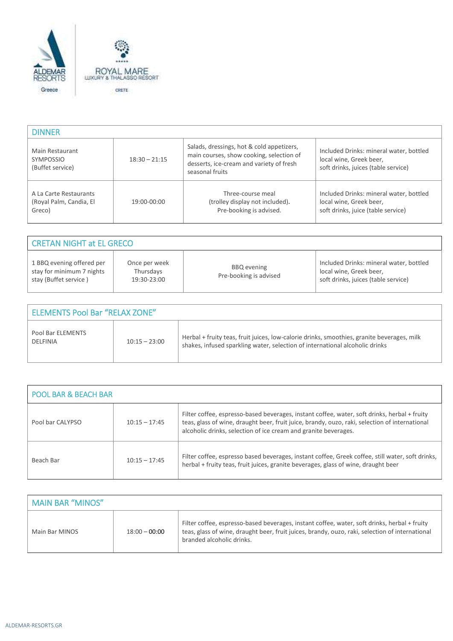

| <b>DINNER</b>                                               |                 |                                                                                                                                                      |                                                                                                           |
|-------------------------------------------------------------|-----------------|------------------------------------------------------------------------------------------------------------------------------------------------------|-----------------------------------------------------------------------------------------------------------|
| Main Restaurant<br><b>SYMPOSSIO</b><br>(Buffet service)     | $18:30 - 21:15$ | Salads, dressings, hot & cold appetizers,<br>main courses, show cooking, selection of<br>desserts, ice-cream and variety of fresh<br>seasonal fruits | Included Drinks: mineral water, bottled<br>local wine, Greek beer,<br>soft drinks, juices (table service) |
| A La Carte Restaurants<br>(Royal Palm, Candia, El<br>Greco) | 19:00-00:00     | Three-course meal<br>(trolley display not included).<br>Pre-booking is advised.                                                                      | Included Drinks: mineral water, bottled<br>local wine, Greek beer,<br>soft drinks, juice (table service)  |

| <b>CRETAN NIGHT at EL GRECO</b>                                                 |                                           |                                              |                                                                                                           |
|---------------------------------------------------------------------------------|-------------------------------------------|----------------------------------------------|-----------------------------------------------------------------------------------------------------------|
| 1 BBQ evening offered per<br>stay for minimum 7 nights<br>stay (Buffet service) | Once per week<br>Thursdays<br>19:30-23:00 | <b>BBQ</b> evening<br>Pre-booking is advised | Included Drinks: mineral water, bottled<br>local wine, Greek beer,<br>soft drinks, juices (table service) |

| <b>ELEMENTS Pool Bar "RELAX ZONE"</b> |                 |                                                                                                                                                                            |  |
|---------------------------------------|-----------------|----------------------------------------------------------------------------------------------------------------------------------------------------------------------------|--|
| Pool Bar ELEMENTS<br>DELFINIA         | $10:15 - 23:00$ | Herbal + fruity teas, fruit juices, low-calorie drinks, smoothies, granite beverages, milk<br>shakes, infused sparkling water, selection of international alcoholic drinks |  |

| <b>POOL BAR &amp; BEACH BAR</b> |                 |                                                                                                                                                                                                                                                                   |  |
|---------------------------------|-----------------|-------------------------------------------------------------------------------------------------------------------------------------------------------------------------------------------------------------------------------------------------------------------|--|
| Pool bar CALYPSO                | $10:15 - 17:45$ | Filter coffee, espresso-based beverages, instant coffee, water, soft drinks, herbal + fruity<br>teas, glass of wine, draught beer, fruit juice, brandy, ouzo, raki, selection of international<br>alcoholic drinks, selection of ice cream and granite beverages. |  |
| Beach Bar                       | $10:15 - 17:45$ | Filter coffee, espresso based beverages, instant coffee, Greek coffee, still water, soft drinks,<br>herbal + fruity teas, fruit juices, granite beverages, glass of wine, draught beer                                                                            |  |

| MAIN BAR "MINOS" |                 |                                                                                                                                                                                                                              |
|------------------|-----------------|------------------------------------------------------------------------------------------------------------------------------------------------------------------------------------------------------------------------------|
| Main Bar MINOS   | $18:00 - 00:00$ | Filter coffee, espresso-based beverages, instant coffee, water, soft drinks, herbal + fruity<br>teas, glass of wine, draught beer, fruit juices, brandy, ouzo, raki, selection of international<br>branded alcoholic drinks. |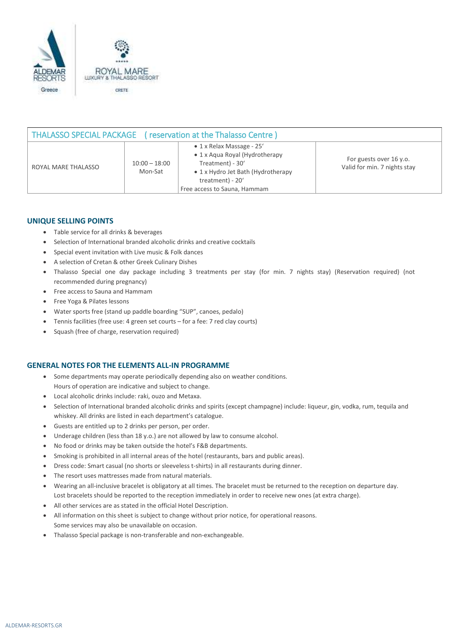

| THALASSO SPECIAL PACKAGE (reservation at the Thalasso Centre) |                            |                                                                                                                                                                                   |                                                         |  |
|---------------------------------------------------------------|----------------------------|-----------------------------------------------------------------------------------------------------------------------------------------------------------------------------------|---------------------------------------------------------|--|
| ROYAL MARE THALASSO                                           | $10:00 - 18:00$<br>Mon-Sat | $\bullet$ 1 x Relax Massage - 25'<br>• 1 x Aqua Royal (Hydrotherapy<br>Treatment) - 30'<br>• 1 x Hydro Jet Bath (Hydrotherapy<br>treatment) - 20'<br>Free access to Sauna, Hammam | For guests over 16 y.o.<br>Valid for min. 7 nights stay |  |

## **UNIQUE SELLING POINTS**

- Table service for all drinks & beverages
- Selection of International branded alcoholic drinks and creative cocktails
- Special event invitation with Live music & Folk dances
- A selection of Cretan & other Greek Culinary Dishes
- Thalasso Special one day package including 3 treatments per stay (for min. 7 nights stay) (Reservation required) (not recommended during pregnancy)
- Free access to Sauna and Hammam
- Free Yoga & Pilates lessons
- Water sports free (stand up paddle boarding "SUP", canoes, pedalo)
- Tennis facilities (free use: 4 green set courts for a fee: 7 red clay courts)
- Squash (free of charge, reservation required)

## **GENERAL NOTES FOR THE ELEMENTS ALL-IN PROGRAMME**

- Some departments may operate periodically depending also on weather conditions. Hours of operation are indicative and subject to change.
- Local alcoholic drinks include: raki, ouzo and Metaxa.
- Selection of International branded alcoholic drinks and spirits (except champagne) include: liqueur, gin, vodka, rum, tequila and whiskey. All drinks are listed in each department's catalogue.
- Guests are entitled up to 2 drinks per person, per order.
- Underage children (less than 18 y.o.) are not allowed by law to consume alcohol.
- No food or drinks may be taken outside the hotel's F&B departments.
- Smoking is prohibited in all internal areas of the hotel (restaurants, bars and public areas).
- Dress code: Smart casual (no shorts or sleeveless t-shirts) in all restaurants during dinner.
- The resort uses mattresses made from natural materials.
- Wearing an all-inclusive bracelet is obligatory at all times. The bracelet must be returned to the reception on departure day. Lost bracelets should be reported to the reception immediately in order to receive new ones (at extra charge).
- All other services are as stated in the official Hotel Description.
- All information on this sheet is subject to change without prior notice, for operational reasons. Some services may also be unavailable on occasion.
- Thalasso Special package is non-transferable and non-exchangeable.